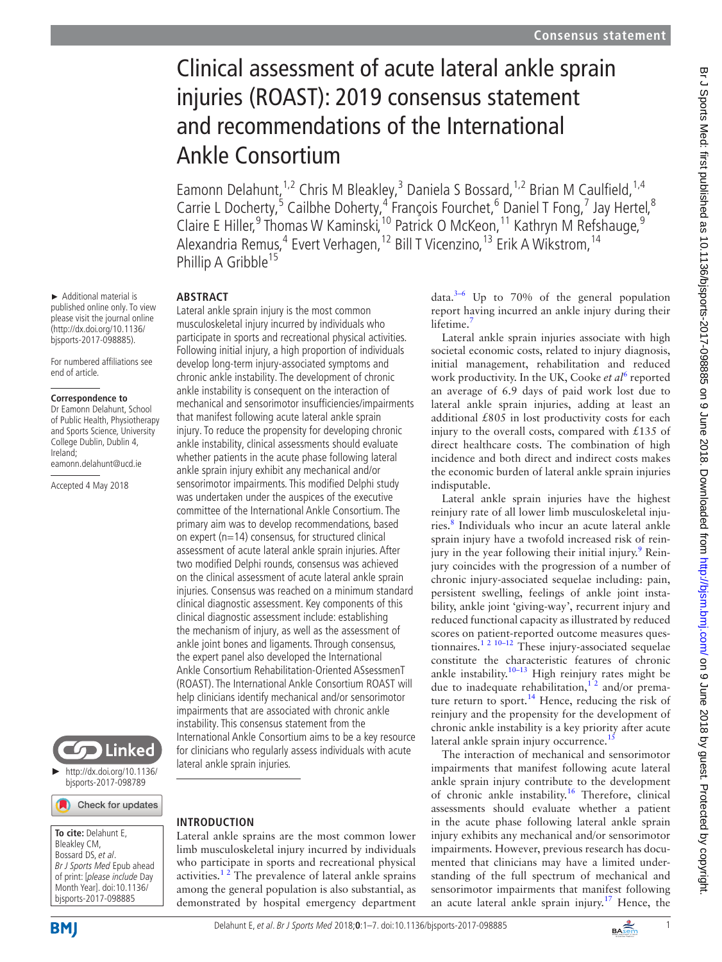# Clinical assessment of acute lateral ankle sprain injuries (ROAST): 2019 consensus statement and recommendations of the International Ankle Consortium

Eamonn Delahunt,<sup>1,2</sup> Chris M Bleakley,<sup>3</sup> Daniela S Bossard,<sup>1,2</sup> Brian M Caulfield,<sup>1,4</sup> Carrie L Docherty,<sup>5</sup> Cailbhe Doherty,<sup>4</sup> François Fourchet,<sup>6</sup> Daniel T Fong,<sup>7</sup> Jay Hertel,<sup>8</sup> Claire E Hiller,<sup>9</sup> Thomas W Kaminski, <sup>10</sup> Patrick O McKeon, <sup>11</sup> Kathryn M Refshauge, <sup>9</sup> Alexandria Remus,<sup>4</sup> Evert Verhagen,<sup>12</sup> Bill T Vicenzino,<sup>13</sup> Erik A Wikstrom,<sup>14</sup> Phillip A Gribble<sup>15</sup>

# **Abstract**

Lateral ankle sprain injury is the most common musculoskeletal injury incurred by individuals who participate in sports and recreational physical activities. Following initial injury, a high proportion of individuals develop long-term injury-associated symptoms and chronic ankle instability. The development of chronic ankle instability is consequent on the interaction of mechanical and sensorimotor insufficiencies/impairments that manifest following acute lateral ankle sprain injury. To reduce the propensity for developing chronic ankle instability, clinical assessments should evaluate whether patients in the acute phase following lateral ankle sprain injury exhibit any mechanical and/or sensorimotor impairments. This modified Delphi study was undertaken under the auspices of the executive committee of the International Ankle Consortium. The primary aim was to develop recommendations, based on expert (n=14) consensus, for structured clinical assessment of acute lateral ankle sprain injuries. After two modified Delphi rounds, consensus was achieved on the clinical assessment of acute lateral ankle sprain injuries. Consensus was reached on a minimum standard clinical diagnostic assessment. Key components of this clinical diagnostic assessment include: establishing the mechanism of injury, as well as the assessment of ankle joint bones and ligaments. Through consensus, the expert panel also developed the International Ankle Consortium Rehabilitation-Oriented ASsessmenT (ROAST). The International Ankle Consortium ROAST will help clinicians identify mechanical and/or sensorimotor impairments that are associated with chronic ankle instability. This consensus statement from the International Ankle Consortium aims to be a key resource for clinicians who regularly assess individuals with acute lateral ankle sprain injuries.

# **Introduction**

Lateral ankle sprains are the most common lower limb musculoskeletal injury incurred by individuals who participate in sports and recreational physical activities.<sup>12</sup> The prevalence of lateral ankle sprains among the general population is also substantial, as demonstrated by hospital emergency department data. $3-6$  Up to 70% of the general population report having incurred an ankle injury during their lifetime.<sup>7</sup>

Lateral ankle sprain injuries associate with high societal economic costs, related to injury diagnosis, initial management, rehabilitation and reduced work productivity. In the UK, Cooke et al<sup>[6](#page-5-3)</sup> reported an average of 6.9 days of paid work lost due to lateral ankle sprain injuries, adding at least an additional £805 in lost productivity costs for each injury to the overall costs, compared with  $£135$  of direct healthcare costs. The combination of high incidence and both direct and indirect costs makes the economic burden of lateral ankle sprain injuries indisputable.

Lateral ankle sprain injuries have the highest reinjury rate of all lower limb musculoskeletal inju-ries.<sup>[8](#page-5-4)</sup> Individuals who incur an acute lateral ankle sprain injury have a twofold increased risk of rein-jury in the year following their initial injury.<sup>[9](#page-5-5)</sup> Reinjury coincides with the progression of a number of chronic injury-associated sequelae including: pain, persistent swelling, feelings of ankle joint instability, ankle joint 'giving-way', recurrent injury and reduced functional capacity as illustrated by reduced scores on patient-reported outcome measures questionnaires.<sup>1 2 10–12</sup> These injury-associated sequelae constitute the characteristic features of chronic ankle instability.<sup>[10–13](#page-5-6)</sup> High reinjury rates might be due to inadequate rehabilitation,<sup>12</sup> and/or premature return to sport.<sup>14</sup> Hence, reducing the risk of reinjury and the propensity for the development of chronic ankle instability is a key priority after acute lateral ankle sprain injury occurrence.<sup>15</sup>

The interaction of mechanical and sensorimotor impairments that manifest following acute lateral ankle sprain injury contribute to the development of chronic ankle instability[.16](#page-5-9) Therefore, clinical assessments should evaluate whether a patient in the acute phase following lateral ankle sprain injury exhibits any mechanical and/or sensorimotor impairments. However, previous research has documented that clinicians may have a limited understanding of the full spectrum of mechanical and sensorimotor impairments that manifest following an acute lateral ankle sprain injury.<sup>[17](#page-5-10)</sup> Hence, the

► Additional material is published online only. To view please visit the journal online (http://dx.doi.org/10.1136/ bjsports-2017-098885).

For numbered affiliations see end of article.

#### **Correspondence to**

Dr Eamonn Delahunt, School of Public Health, Physiotherapy and Sports Science, University College Dublin, Dublin 4, Ireland;

eamonn.delahunt@ucd.ie

Accepted 4 May 2018



Check for updates

**To cite:** Delahunt E, Bleakley CM, Bossard DS, et al. Br J Sports Med Epub ahead of print: [please include Day Month Year]. doi:10.1136/ bjsports-2017-098885



Br J Sports Med: first published as 10.1136/bjsports-2017-098885 on 9 June 2018. Downloaded from http://bjsm.bmj.com/ on 9 June 2018 by guest. Protected by copyright Br J Sports Med: first published as 10.1136/bjsports-2017-098885 on 9 June 2018. Downloaded from <http://bjsm.bmj.com/> on 9 June 2018 by guest. Protected by copyright.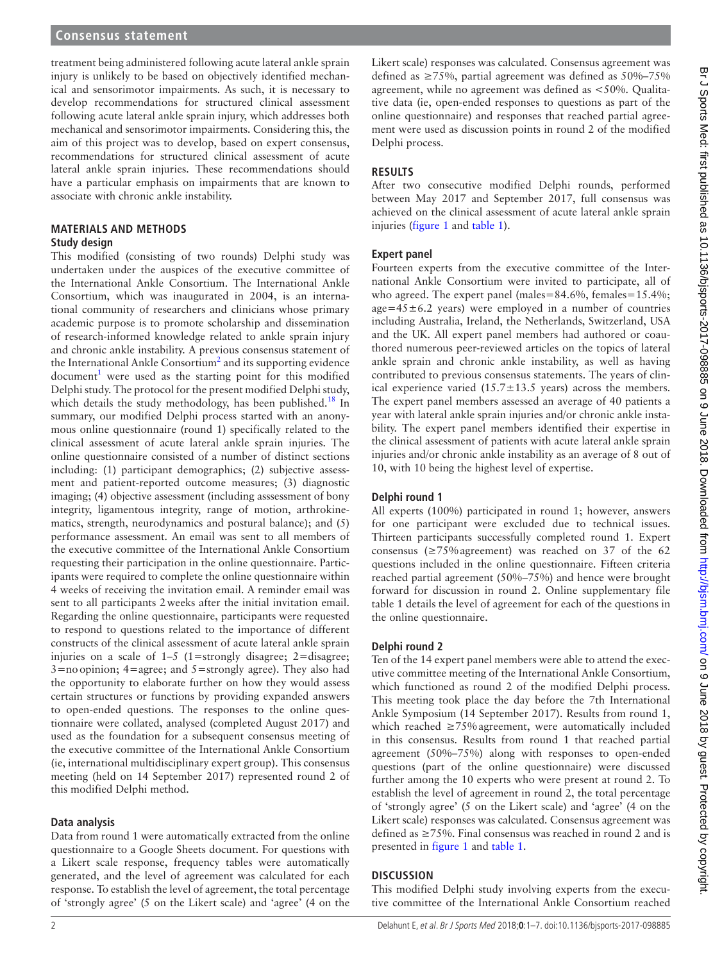## **Consensus statement**

treatment being administered following acute lateral ankle sprain injury is unlikely to be based on objectively identified mechanical and sensorimotor impairments. As such, it is necessary to develop recommendations for structured clinical assessment following acute lateral ankle sprain injury, which addresses both mechanical and sensorimotor impairments. Considering this, the aim of this project was to develop, based on expert consensus, recommendations for structured clinical assessment of acute lateral ankle sprain injuries. These recommendations should have a particular emphasis on impairments that are known to associate with chronic ankle instability.

## **Materials and methods**

#### **Study design**

This modified (consisting of two rounds) Delphi study was undertaken under the auspices of the executive committee of the International Ankle Consortium. The International Ankle Consortium, which was inaugurated in 2004, is an international community of researchers and clinicians whose primary academic purpose is to promote scholarship and dissemination of research-informed knowledge related to ankle sprain injury and chronic ankle instability. A previous consensus statement of the International Ankle Consortium<sup>[2](#page-5-11)</sup> and its supporting evidence document<sup>[1](#page-5-0)</sup> were used as the starting point for this modified Delphi study. The protocol for the present modified Delphi study, which details the study methodology, has been published.<sup>18</sup> In summary, our modified Delphi process started with an anonymous online questionnaire (round 1) specifically related to the clinical assessment of acute lateral ankle sprain injuries. The online questionnaire consisted of a number of distinct sections including: (1) participant demographics; (2) subjective assessment and patient-reported outcome measures; (3) diagnostic imaging; (4) objective assessment (including asssessment of bony integrity, ligamentous integrity, range of motion, arthrokinematics, strength, neurodynamics and postural balance); and (5) performance assessment. An email was sent to all members of the executive committee of the International Ankle Consortium requesting their participation in the online questionnaire. Participants were required to complete the online questionnaire within 4 weeks of receiving the invitation email. A reminder email was sent to all participants 2weeks after the initial invitation email. Regarding the online questionnaire, participants were requested to respond to questions related to the importance of different constructs of the clinical assessment of acute lateral ankle sprain injuries on a scale of 1–5 (1=strongly disagree; 2=disagree;  $3=$ no opinion;  $4=$ agree; and  $5=$ strongly agree). They also had the opportunity to elaborate further on how they would assess certain structures or functions by providing expanded answers to open-ended questions. The responses to the online questionnaire were collated, analysed (completed August 2017) and used as the foundation for a subsequent consensus meeting of the executive committee of the International Ankle Consortium (ie, international multidisciplinary expert group). This consensus meeting (held on 14 September 2017) represented round 2 of this modified Delphi method.

#### **Data analysis**

Data from round 1 were automatically extracted from the online questionnaire to a Google Sheets document. For questions with a Likert scale response, frequency tables were automatically generated, and the level of agreement was calculated for each response. To establish the level of agreement, the total percentage of 'strongly agree' (5 on the Likert scale) and 'agree' (4 on the

Likert scale) responses was calculated. Consensus agreement was defined as  $\geq 75\%$ , partial agreement was defined as  $50\% - 75\%$ agreement, while no agreement was defined as <50%. Qualitative data (ie, open-ended responses to questions as part of the online questionnaire) and responses that reached partial agreement were used as discussion points in round 2 of the modified Delphi process.

# **Results**

After two consecutive modified Delphi rounds, performed between May 2017 and September 2017, full consensus was achieved on the clinical assessment of acute lateral ankle sprain injuries [\(figure](#page-2-0) 1 and [table](#page-2-1) 1).

## **Expert panel**

Fourteen experts from the executive committee of the International Ankle Consortium were invited to participate, all of who agreed. The expert panel (males=84.6%, females=15.4%;  $age=45\pm6.2$  years) were employed in a number of countries including Australia, Ireland, the Netherlands, Switzerland, USA and the UK. All expert panel members had authored or coauthored numerous peer-reviewed articles on the topics of lateral ankle sprain and chronic ankle instability, as well as having contributed to previous consensus statements. The years of clinical experience varied  $(15.7 \pm 13.5 \text{ years})$  across the members. The expert panel members assessed an average of 40 patients a year with lateral ankle sprain injuries and/or chronic ankle instability. The expert panel members identified their expertise in the clinical assessment of patients with acute lateral ankle sprain injuries and/or chronic ankle instability as an average of 8 out of 10, with 10 being the highest level of expertise.

## **Delphi round 1**

All experts (100%) participated in round 1; however, answers for one participant were excluded due to technical issues. Thirteen participants successfully completed round 1. Expert consensus ( $\geq$ 75% agreement) was reached on 37 of the 62 questions included in the online questionnaire. Fifteen criteria reached partial agreement (50%–75%) and hence were brought forward for discussion in round 2. Online [supplementary file](https://dx.doi.org/10.1136/bjsports-2017-098885) [table 1](https://dx.doi.org/10.1136/bjsports-2017-098885) details the level of agreement for each of the questions in the online questionnaire.

## **Delphi round 2**

Ten of the 14 expert panel members were able to attend the executive committee meeting of the International Ankle Consortium, which functioned as round 2 of the modified Delphi process. This meeting took place the day before the 7th International Ankle Symposium (14 September 2017). Results from round 1, which reached  $\geq 75\%$  agreement, were automatically included in this consensus. Results from round 1 that reached partial agreement (50%–75%) along with responses to open-ended questions (part of the online questionnaire) were discussed further among the 10 experts who were present at round 2. To establish the level of agreement in round 2, the total percentage of 'strongly agree' (5 on the Likert scale) and 'agree' (4 on the Likert scale) responses was calculated. Consensus agreement was defined as ≥75%. Final consensus was reached in round 2 and is presented in [figure](#page-2-0) 1 and [table](#page-2-1) 1.

# **Discussion**

This modified Delphi study involving experts from the executive committee of the International Ankle Consortium reached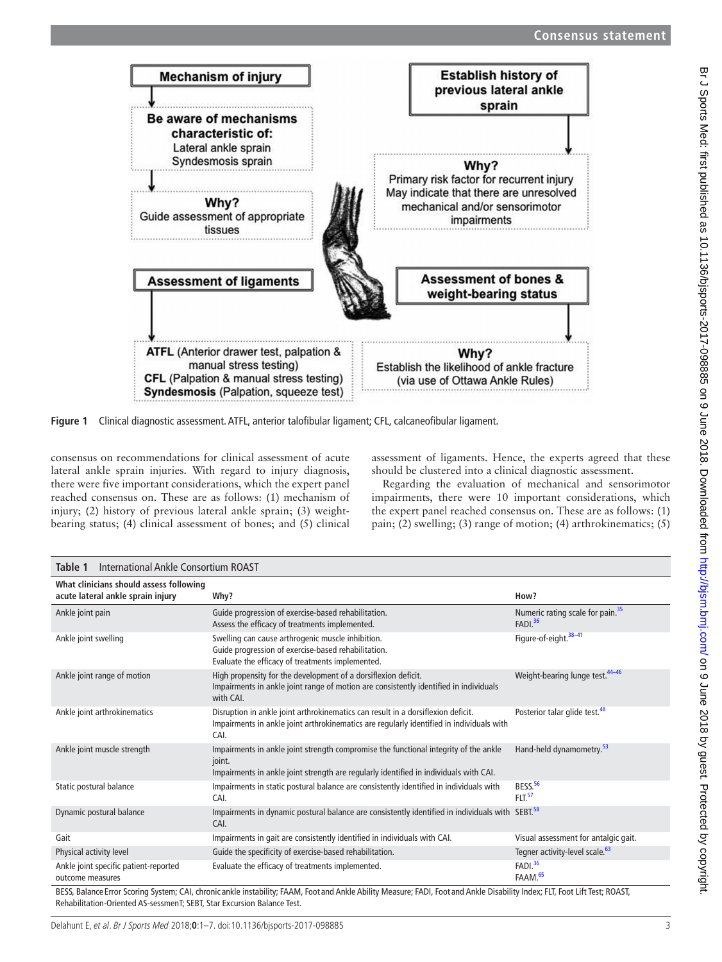

<span id="page-2-0"></span>**Figure 1** Clinical diagnostic assessment. ATFL, anterior talofibular ligament; CFL, calcaneofibular ligament.

consensus on recommendations for clinical assessment of acute lateral ankle sprain injuries. With regard to injury diagnosis, there were five important considerations, which the expert panel reached consensus on. These are as follows: (1) mechanism of injury; (2) history of previous lateral ankle sprain; (3) weightbearing status; (4) clinical assessment of bones; and (5) clinical

assessment of ligaments. Hence, the experts agreed that these should be clustered into a clinical diagnostic assessment.

Regarding the evaluation of mechanical and sensorimotor impairments, there were 10 important considerations, which the expert panel reached consensus on. These are as follows: (1) pain; (2) swelling; (3) range of motion; (4) arthrokinematics; (5)

<span id="page-2-1"></span>

| International Ankle Consortium ROAST<br>Table 1                                                                                                                              |                                                                                                                                                                                         |                                                                     |
|------------------------------------------------------------------------------------------------------------------------------------------------------------------------------|-----------------------------------------------------------------------------------------------------------------------------------------------------------------------------------------|---------------------------------------------------------------------|
| What clinicians should assess following<br>acute lateral ankle sprain injury                                                                                                 | Why?                                                                                                                                                                                    | How?                                                                |
| Ankle joint pain                                                                                                                                                             | Guide progression of exercise-based rehabilitation.<br>Assess the efficacy of treatments implemented.                                                                                   | Numeric rating scale for pain. <sup>35</sup><br>FADI. <sup>36</sup> |
| Ankle joint swelling                                                                                                                                                         | Swelling can cause arthrogenic muscle inhibition.<br>Guide progression of exercise-based rehabilitation.<br>Evaluate the efficacy of treatments implemented.                            | Figure-of-eight. <sup>38-41</sup>                                   |
| Ankle joint range of motion                                                                                                                                                  | High propensity for the development of a dorsiflexion deficit.<br>Impairments in ankle joint range of motion are consistently identified in individuals<br>with CAI.                    | Weight-bearing lunge test. 44-46                                    |
| Ankle joint arthrokinematics                                                                                                                                                 | Disruption in ankle joint arthrokinematics can result in a dorsiflexion deficit.<br>Impairments in ankle joint arthrokinematics are regularly identified in individuals with<br>CAI.    | Posterior talar glide test. <sup>48</sup>                           |
| Ankle joint muscle strength                                                                                                                                                  | Impairments in ankle joint strength compromise the functional integrity of the ankle<br>joint.<br>Impairments in ankle joint strength are regularly identified in individuals with CAI. | Hand-held dynamometry. <sup>53</sup>                                |
| Static postural balance                                                                                                                                                      | Impairments in static postural balance are consistently identified in individuals with<br>CAI.                                                                                          | <b>BESS.</b> <sup>56</sup><br>FLT <sup>57</sup>                     |
| Dynamic postural balance                                                                                                                                                     | Impairments in dynamic postural balance are consistently identified in individuals with<br>CAI.                                                                                         | SEBT. <sup>58</sup>                                                 |
| Gait                                                                                                                                                                         | Impairments in gait are consistently identified in individuals with CAI.                                                                                                                | Visual assessment for antalgic gait.                                |
| Physical activity level                                                                                                                                                      | Guide the specificity of exercise-based rehabilitation.                                                                                                                                 | Tegner activity-level scale. <sup>63</sup>                          |
| Ankle joint specific patient-reported<br>outcome measures                                                                                                                    | Evaluate the efficacy of treatments implemented.                                                                                                                                        | FADI <sup>36</sup><br>FAAM. <sup>65</sup>                           |
| BESS, Balance Error Scoring System; CAI, chronic ankle instability; FAAM, Foot and Ankle Ability Measure; FADI, Foot and Ankle Disability Index; FLT, Foot Lift Test; ROAST, |                                                                                                                                                                                         |                                                                     |

Rehabilitation-Oriented AS-sessmenT; SEBT, Star Excursion Balance Test.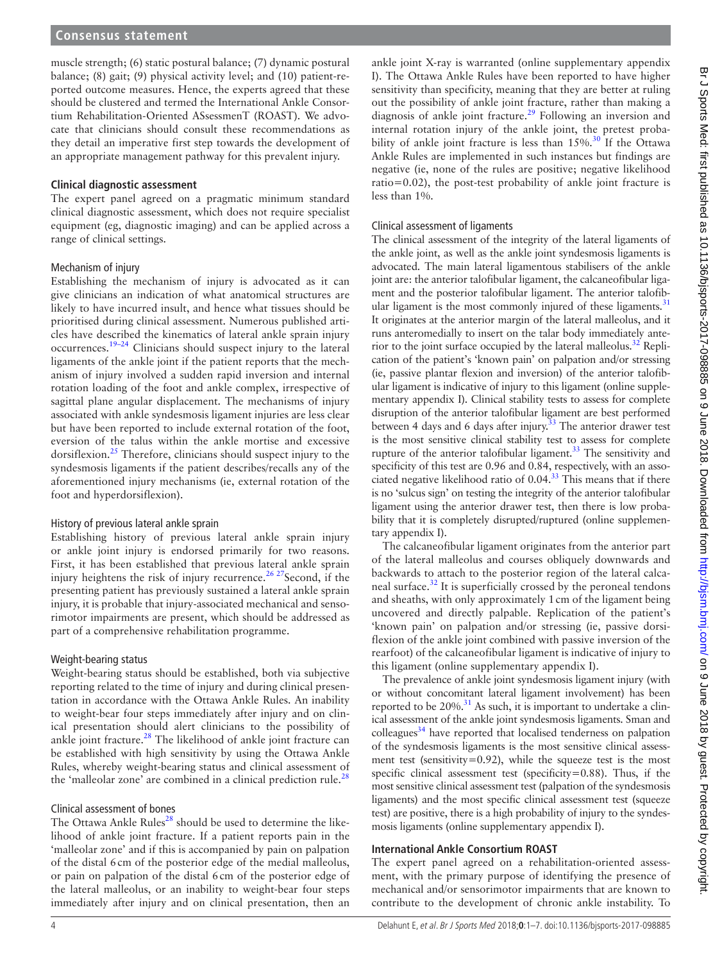muscle strength; (6) static postural balance; (7) dynamic postural balance; (8) gait; (9) physical activity level; and (10) patient-reported outcome measures. Hence, the experts agreed that these should be clustered and termed the International Ankle Consortium Rehabilitation-Oriented ASsessmenT (ROAST). We advocate that clinicians should consult these recommendations as they detail an imperative first step towards the development of an appropriate management pathway for this prevalent injury.

## **Clinical diagnostic assessment**

The expert panel agreed on a pragmatic minimum standard clinical diagnostic assessment, which does not require specialist equipment (eg, diagnostic imaging) and can be applied across a range of clinical settings.

# Mechanism of injury

Establishing the mechanism of injury is advocated as it can give clinicians an indication of what anatomical structures are likely to have incurred insult, and hence what tissues should be prioritised during clinical assessment. Numerous published articles have described the kinematics of lateral ankle sprain injury occurrences[.19–24](#page-5-13) Clinicians should suspect injury to the lateral ligaments of the ankle joint if the patient reports that the mechanism of injury involved a sudden rapid inversion and internal rotation loading of the foot and ankle complex, irrespective of sagittal plane angular displacement. The mechanisms of injury associated with ankle syndesmosis ligament injuries are less clear but have been reported to include external rotation of the foot, eversion of the talus within the ankle mortise and excessive dorsiflexion.[25](#page-5-14) Therefore, clinicians should suspect injury to the syndesmosis ligaments if the patient describes/recalls any of the aforementioned injury mechanisms (ie, external rotation of the foot and hyperdorsiflexion).

# History of previous lateral ankle sprain

Establishing history of previous lateral ankle sprain injury or ankle joint injury is endorsed primarily for two reasons. First, it has been established that previous lateral ankle sprain injury heightens the risk of injury recurrence.<sup>26 27</sup>Second, if the presenting patient has previously sustained a lateral ankle sprain injury, it is probable that injury-associated mechanical and sensorimotor impairments are present, which should be addressed as part of a comprehensive rehabilitation programme.

# Weight-bearing status

Weight-bearing status should be established, both via subjective reporting related to the time of injury and during clinical presentation in accordance with the Ottawa Ankle Rules. An inability to weight-bear four steps immediately after injury and on clinical presentation should alert clinicians to the possibility of ankle joint fracture. $28$  The likelihood of ankle joint fracture can be established with high sensitivity by using the Ottawa Ankle Rules, whereby weight-bearing status and clinical assessment of the 'malleolar zone' are combined in a clinical prediction rule.<sup>[28](#page-5-16)</sup>

# Clinical assessment of bones

The Ottawa Ankle Rules $^{28}$  should be used to determine the likelihood of ankle joint fracture. If a patient reports pain in the 'malleolar zone' and if this is accompanied by pain on palpation of the distal 6cm of the posterior edge of the medial malleolus, or pain on palpation of the distal 6cm of the posterior edge of the lateral malleolus, or an inability to weight-bear four steps immediately after injury and on clinical presentation, then an

ankle joint X-ray is warranted (online [supplementary appendix](https://dx.doi.org/10.1136/bjsports-2017-098885) [I\)](https://dx.doi.org/10.1136/bjsports-2017-098885). The Ottawa Ankle Rules have been reported to have higher sensitivity than specificity, meaning that they are better at ruling out the possibility of ankle joint fracture, rather than making a diagnosis of ankle joint fracture.<sup>29</sup> Following an inversion and internal rotation injury of the ankle joint, the pretest probability of ankle joint fracture is less than  $15\%$ .<sup>30</sup> If the Ottawa Ankle Rules are implemented in such instances but findings are negative (ie, none of the rules are positive; negative likelihood ratio=0.02), the post-test probability of ankle joint fracture is less than 1%.

# Clinical assessment of ligaments

The clinical assessment of the integrity of the lateral ligaments of the ankle joint, as well as the ankle joint syndesmosis ligaments is advocated. The main lateral ligamentous stabilisers of the ankle joint are: the anterior talofibular ligament, the calcaneofibular ligament and the posterior talofibular ligament. The anterior talofib-ular ligament is the most commonly injured of these ligaments.<sup>[31](#page-5-19)</sup> It originates at the anterior margin of the lateral malleolus, and it runs anteromedially to insert on the talar body immediately ante-rior to the joint surface occupied by the lateral malleolus.<sup>[32](#page-6-11)</sup> Replication of the patient's 'known pain' on palpation and/or stressing (ie, passive plantar flexion and inversion) of the anterior talofibular ligament is indicative of injury to this ligament (online [supple](https://dx.doi.org/10.1136/bjsports-2017-098885)[mentary appendix I\)](https://dx.doi.org/10.1136/bjsports-2017-098885). Clinical stability tests to assess for complete disruption of the anterior talofibular ligament are best performed between 4 days and 6 days after injury.<sup>33</sup> The anterior drawer test is the most sensitive clinical stability test to assess for complete rupture of the anterior talofibular ligament.<sup>33</sup> The sensitivity and specificity of this test are 0.96 and 0.84, respectively, with an associated negative likelihood ratio of  $0.04<sup>33</sup>$  $0.04<sup>33</sup>$  $0.04<sup>33</sup>$ . This means that if there is no 'sulcus sign' on testing the integrity of the anterior talofibular ligament using the anterior drawer test, then there is low probability that it is completely disrupted/ruptured (online [supplemen](https://dx.doi.org/10.1136/bjsports-2017-098885)[tary appendix I\)](https://dx.doi.org/10.1136/bjsports-2017-098885).

The calcaneofibular ligament originates from the anterior part of the lateral malleolus and courses obliquely downwards and backwards to attach to the posterior region of the lateral calca-neal surface.<sup>[32](#page-6-11)</sup> It is superficially crossed by the peroneal tendons and sheaths, with only approximately 1cm of the ligament being uncovered and directly palpable. Replication of the patient's 'known pain' on palpation and/or stressing (ie, passive dorsiflexion of the ankle joint combined with passive inversion of the rearfoot) of the calcaneofibular ligament is indicative of injury to this ligament (online [supplementary appendix I\)](https://dx.doi.org/10.1136/bjsports-2017-098885).

The prevalence of ankle joint syndesmosis ligament injury (with or without concomitant lateral ligament involvement) has been reported to be  $20\%$ .<sup>[31](#page-5-19)</sup> As such, it is important to undertake a clinical assessment of the ankle joint syndesmosis ligaments. Sman and  $\text{colleagues}^{34}$  $\text{colleagues}^{34}$  $\text{colleagues}^{34}$  have reported that localised tenderness on palpation of the syndesmosis ligaments is the most sensitive clinical assessment test (sensitivity=0.92), while the squeeze test is the most specific clinical assessment test (specificity=0.88). Thus, if the most sensitive clinical assessment test (palpation of the syndesmosis ligaments) and the most specific clinical assessment test (squeeze test) are positive, there is a high probability of injury to the syndesmosis ligaments (online [supplementary appendix I\)](https://dx.doi.org/10.1136/bjsports-2017-098885).

# **International Ankle Consortium ROAST**

The expert panel agreed on a rehabilitation-oriented assessment, with the primary purpose of identifying the presence of mechanical and/or sensorimotor impairments that are known to contribute to the development of chronic ankle instability. To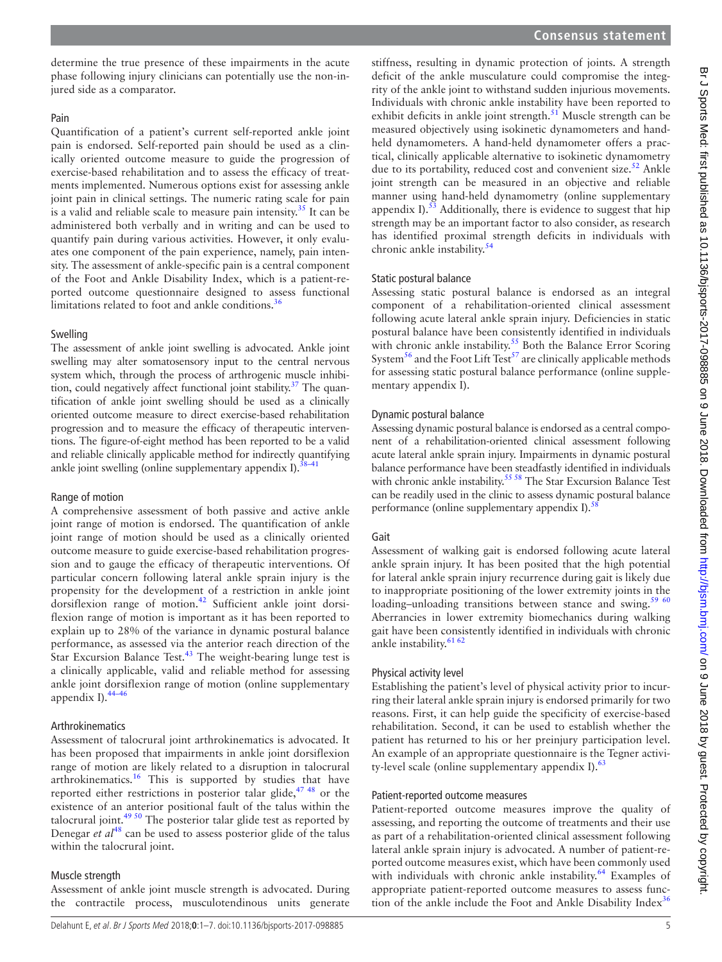determine the true presence of these impairments in the acute phase following injury clinicians can potentially use the non-injured side as a comparator.

#### Pain

Quantification of a patient's current self-reported ankle joint pain is endorsed. Self-reported pain should be used as a clinically oriented outcome measure to guide the progression of exercise-based rehabilitation and to assess the efficacy of treatments implemented. Numerous options exist for assessing ankle joint pain in clinical settings. The numeric rating scale for pain is a valid and reliable scale to measure pain intensity.<sup>35</sup> It can be administered both verbally and in writing and can be used to quantify pain during various activities. However, it only evaluates one component of the pain experience, namely, pain intensity. The assessment of ankle-specific pain is a central component of the Foot and Ankle Disability Index, which is a patient-reported outcome questionnaire designed to assess functional limitations related to foot and ankle conditions.<sup>36</sup>

#### Swelling

The assessment of ankle joint swelling is advocated. Ankle joint swelling may alter somatosensory input to the central nervous system which, through the process of arthrogenic muscle inhibition, could negatively affect functional joint stability.<sup>37</sup> The quantification of ankle joint swelling should be used as a clinically oriented outcome measure to direct exercise-based rehabilitation progression and to measure the efficacy of therapeutic interventions. The figure-of-eight method has been reported to be a valid and reliable clinically applicable method for indirectly quantifying ankle joint swelling (online supplementary appendix  $I$ ).  $38-41$ 

## Range of motion

A comprehensive assessment of both passive and active ankle joint range of motion is endorsed. The quantification of ankle joint range of motion should be used as a clinically oriented outcome measure to guide exercise-based rehabilitation progression and to gauge the efficacy of therapeutic interventions. Of particular concern following lateral ankle sprain injury is the propensity for the development of a restriction in ankle joint dorsiflexion range of motion.<sup>[42](#page-6-15)</sup> Sufficient ankle joint dorsiflexion range of motion is important as it has been reported to explain up to 28% of the variance in dynamic postural balance performance, as assessed via the anterior reach direction of the Star Excursion Balance Test.<sup>[43](#page-6-16)</sup> The weight-bearing lunge test is a clinically applicable, valid and reliable method for assessing ankle joint dorsiflexion range of motion (online [supplementary](https://dx.doi.org/10.1136/bjsports-2017-098885)  [appendix I](https://dx.doi.org/10.1136/bjsports-2017-098885)).<sup>44-46</sup>

#### Arthrokinematics

Assessment of talocrural joint arthrokinematics is advocated. It has been proposed that impairments in ankle joint dorsiflexion range of motion are likely related to a disruption in talocrural arthrokinematics.<sup>[16](#page-5-9)</sup> This is supported by studies that have reported either restrictions in posterior talar glide,  $47\frac{48}{10}$  or the existence of an anterior positional fault of the talus within the talocrural joint.<sup>49 50</sup> The posterior talar glide test as reported by Denegar *et al*<sup>48</sup> can be used to assess posterior glide of the talus within the talocrural joint.

#### Muscle strength

Assessment of ankle joint muscle strength is advocated. During the contractile process, musculotendinous units generate

stiffness, resulting in dynamic protection of joints. A strength deficit of the ankle musculature could compromise the integrity of the ankle joint to withstand sudden injurious movements. Individuals with chronic ankle instability have been reported to exhibit deficits in ankle joint strength.<sup>[51](#page-6-19)</sup> Muscle strength can be measured objectively using isokinetic dynamometers and handheld dynamometers. A hand-held dynamometer offers a practical, clinically applicable alternative to isokinetic dynamometry due to its portability, reduced cost and convenient size.<sup>52</sup> Ankle joint strength can be measured in an objective and reliable manner using hand-held dynamometry (online [supplementary](https://dx.doi.org/10.1136/bjsports-2017-098885) [appendix I](https://dx.doi.org/10.1136/bjsports-2017-098885)).<sup>[53](#page-6-5)</sup> Additionally, there is evidence to suggest that hip strength may be an important factor to also consider, as research has identified proximal strength deficits in individuals with chronic ankle instability.<sup>54</sup>

# Static postural balance

Assessing static postural balance is endorsed as an integral component of a rehabilitation-oriented clinical assessment following acute lateral ankle sprain injury. Deficiencies in static postural balance have been consistently identified in individuals with chronic ankle instability.<sup>[55](#page-6-22)</sup> Both the Balance Error Scoring System<sup>[56](#page-6-6)</sup> and the Foot Lift Test<sup>57</sup> are clinically applicable methods for assessing static postural balance performance (online [supple](https://dx.doi.org/10.1136/bjsports-2017-098885)[mentary appendix I](https://dx.doi.org/10.1136/bjsports-2017-098885)).

## Dynamic postural balance

Assessing dynamic postural balance is endorsed as a central component of a rehabilitation-oriented clinical assessment following acute lateral ankle sprain injury. Impairments in dynamic postural balance performance have been steadfastly identified in individuals with chronic ankle instability.<sup>55 58</sup> The Star Excursion Balance Test can be readily used in the clinic to assess dynamic postural balance performance (online [supplementary appendix I](https://dx.doi.org/10.1136/bjsports-2017-098885)). $^{5}$ 

#### Gait

Assessment of walking gait is endorsed following acute lateral ankle sprain injury. It has been posited that the high potential for lateral ankle sprain injury recurrence during gait is likely due to inappropriate positioning of the lower extremity joints in the loading-unloading transitions between stance and swing.<sup>[59 60](#page-6-23)</sup> Aberrancies in lower extremity biomechanics during walking gait have been consistently identified in individuals with chronic ankle instability. $6162$ 

#### Physical activity level

Establishing the patient's level of physical activity prior to incurring their lateral ankle sprain injury is endorsed primarily for two reasons. First, it can help guide the specificity of exercise-based rehabilitation. Second, it can be used to establish whether the patient has returned to his or her preinjury participation level. An example of an appropriate questionnaire is the Tegner activity-level scale (online [supplementary appendix I](https://dx.doi.org/10.1136/bjsports-2017-098885)).  $63$ 

#### Patient-reported outcome measures

Patient-reported outcome measures improve the quality of assessing, and reporting the outcome of treatments and their use as part of a rehabilitation-oriented clinical assessment following lateral ankle sprain injury is advocated. A number of patient-reported outcome measures exist, which have been commonly used with individuals with chronic ankle instability.<sup>64</sup> Examples of appropriate patient-reported outcome measures to assess func-tion of the ankle include the Foot and Ankle Disability Index<sup>[36](#page-6-1)</sup>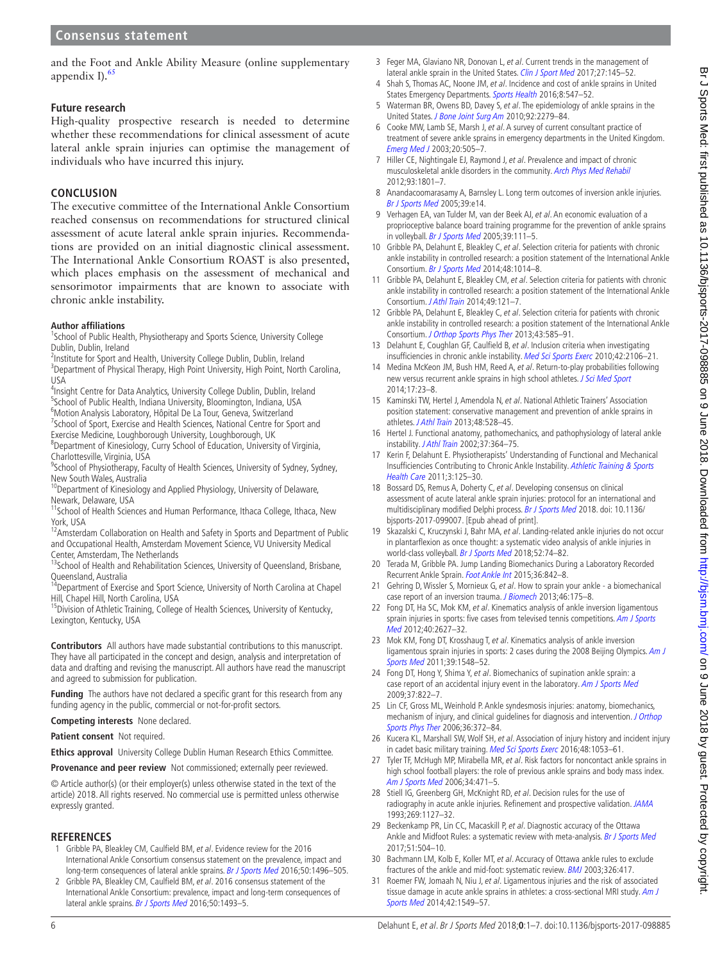and the Foot and Ankle Ability Measure (online [supplementary](https://dx.doi.org/10.1136/bjsports-2017-098885)  [appendix I](https://dx.doi.org/10.1136/bjsports-2017-098885)). $65$ 

## **Future research**

High-quality prospective research is needed to determine whether these recommendations for clinical assessment of acute lateral ankle sprain injuries can optimise the management of individuals who have incurred this injury.

## **Conclusion**

The executive committee of the International Ankle Consortium reached consensus on recommendations for structured clinical assessment of acute lateral ankle sprain injuries. Recommendations are provided on an initial diagnostic clinical assessment. The International Ankle Consortium ROAST is also presented, which places emphasis on the assessment of mechanical and sensorimotor impairments that are known to associate with chronic ankle instability.

#### **Author affiliations**

<sup>1</sup>School of Public Health, Physiotherapy and Sports Science, University College Dublin, Dublin, Ireland

<sup>2</sup>Institute for Sport and Health, University College Dublin, Dublin, Ireland <sup>3</sup>Department of Physical Therapy, High Point University, High Point, North Carolina,

USA <sup>4</sup>Insight Centre for Data Analytics, University College Dublin, Dublin, Ireland

<sup>5</sup>School of Public Health, Indiana University, Bloomington, Indiana, USA 6 Motion Analysis Laboratory, Hôpital De La Tour, Geneva, Switzerland

<sup>7</sup>School of Sport, Exercise and Health Sciences, National Centre for Sport and Exercise Medicine, Loughborough University, Loughborough, UK

8 Department of Kinesiology, Curry School of Education, University of Virginia, Charlottesville, Virginia, USA

<sup>9</sup>School of Physiotherapy, Faculty of Health Sciences, University of Sydney, Sydney, New South Wales, Australia

<sup>10</sup>Department of Kinesiology and Applied Physiology, University of Delaware, Newark, Delaware, USA

<sup>11</sup>School of Health Sciences and Human Performance, Ithaca College, Ithaca, New York, USA

<sup>12</sup> Amsterdam Collaboration on Health and Safety in Sports and Department of Public and Occupational Health, Amsterdam Movement Science, VU University Medical Center, Amsterdam, The Netherlands

<sup>13</sup>School of Health and Rehabilitation Sciences, University of Queensland, Brisbane, Queensland, Australia

<sup>14</sup>Department of Exercise and Sport Science, University of North Carolina at Chapel Hill, Chapel Hill, North Carolina, USA

<sup>15</sup>Division of Athletic Training, College of Health Sciences, University of Kentucky, Lexington, Kentucky, USA

**Contributors** All authors have made substantial contributions to this manuscript. They have all participated in the concept and design, analysis and interpretation of data and drafting and revising the manuscript. All authors have read the manuscript and agreed to submission for publication.

**Funding** The authors have not declared a specific grant for this research from any funding agency in the public, commercial or not-for-profit sectors.

**Competing interests** None declared.

**Patient consent** Not required.

**Ethics approval** University College Dublin Human Research Ethics Committee.

**Provenance and peer review** Not commissioned; externally peer reviewed.

© Article author(s) (or their employer(s) unless otherwise stated in the text of the article) 2018. All rights reserved. No commercial use is permitted unless otherwise expressly granted.

## **References**

- <span id="page-5-0"></span>1 Gribble PA, Bleakley CM, Caulfield BM, et al. Evidence review for the 2016 International Ankle Consortium consensus statement on the prevalence, impact and long-term consequences of lateral ankle sprains. [Br J Sports Med](http://dx.doi.org/10.1136/bjsports-2016-096189) 2016;50:1496-505.
- <span id="page-5-11"></span>2 Gribble PA, Bleakley CM, Caulfield BM, et al. 2016 consensus statement of the International Ankle Consortium: prevalence, impact and long-term consequences of lateral ankle sprains. [Br J Sports Med](http://dx.doi.org/10.1136/bjsports-2016-096188) 2016;50:1493-5.
- <span id="page-5-1"></span>3 Feger MA, Glaviano NR, Donovan L, et al. Current trends in the management of lateral ankle sprain in the United States. [Clin J Sport Med](http://dx.doi.org/10.1097/JSM.0000000000000321) 2017;27:145-52.
- Shah S, Thomas AC, Noone JM, et al. Incidence and cost of ankle sprains in United States Emergency Departments. [Sports Health](http://dx.doi.org/10.1177/1941738116659639) 2016;8:547-52.
- 5 Waterman BR, Owens BD, Davey S, et al. The epidemiology of ankle sprains in the United States. [J Bone Joint Surg Am](http://dx.doi.org/10.2106/JBJS.I.01537) 2010;92:2279–84.
- <span id="page-5-3"></span>6 Cooke MW, Lamb SE, Marsh J, et al. A survey of current consultant practice of treatment of severe ankle sprains in emergency departments in the United Kingdom. [Emerg Med J](http://dx.doi.org/10.1136/emj.20.6.505) 2003;20:505–7.
- <span id="page-5-2"></span>7 Hiller CE, Nightingale EJ, Raymond J, et al. Prevalence and impact of chronic musculoskeletal ankle disorders in the community. [Arch Phys Med Rehabil](http://dx.doi.org/10.1016/j.apmr.2012.04.023) 2012;93:1801–7.
- <span id="page-5-4"></span>8 Anandacoomarasamy A, Barnsley L. Long term outcomes of inversion ankle injuries. [Br J Sports Med](http://dx.doi.org/10.1136/bjsm.2004.011676) 2005;39:e14.
- <span id="page-5-5"></span>9 Verhagen EA, van Tulder M, van der Beek AJ, et al. An economic evaluation of a proprioceptive balance board training programme for the prevention of ankle sprains in volleyball. [Br J Sports Med](http://dx.doi.org/10.1136/bjsm.2003.011031) 2005;39:111-5.
- <span id="page-5-6"></span>10 Gribble PA, Delahunt E, Bleakley C, et al. Selection criteria for patients with chronic ankle instability in controlled research: a position statement of the International Ankle Consortium. [Br J Sports Med](http://dx.doi.org/10.1136/bjsports-2013-093175) 2014;48:1014–8.
- 11 Gribble PA, Delahunt E, Bleakley CM, et al. Selection criteria for patients with chronic ankle instability in controlled research: a position statement of the International Ankle Consortium. [J Athl Train](http://dx.doi.org/10.4085/1062-6050-49.1.14) 2014;49:121–7.
- 12 Gribble PA, Delahunt E, Bleakley C, et al. Selection criteria for patients with chronic ankle instability in controlled research: a position statement of the International Ankle Consortium. [J Orthop Sports Phys Ther](http://dx.doi.org/10.2519/jospt.2013.0303) 2013;43:585–91.
- 13 Delahunt E, Coughlan GF, Caulfield B, et al. Inclusion criteria when investigating insufficiencies in chronic ankle instability. [Med Sci Sports Exerc](http://dx.doi.org/10.1249/MSS.0b013e3181de7a8a) 2010;42:2106–21.
- <span id="page-5-7"></span>14 Medina McKeon JM, Bush HM, Reed A, et al. Return-to-play probabilities following new versus recurrent ankle sprains in high school athletes. [J Sci Med Sport](http://dx.doi.org/10.1016/j.jsams.2013.04.006) 2014;17:23–8.
- <span id="page-5-8"></span>15 Kaminski TW, Hertel J, Amendola N, et al. National Athletic Trainers' Association position statement: conservative management and prevention of ankle sprains in athletes. [J Athl Train](http://dx.doi.org/10.4085/1062-6050-48.4.02) 2013;48:528–45.
- <span id="page-5-9"></span>16 Hertel J. Functional anatomy, pathomechanics, and pathophysiology of lateral ankle instability. [J Athl Train](http://www.ncbi.nlm.nih.gov/pubmed/12937557) 2002;37:364–75.
- <span id="page-5-10"></span>17 Kerin F, Delahunt E. Physiotherapists' Understanding of Functional and Mechanical Insufficiencies Contributing to Chronic Ankle Instability. [Athletic Training & Sports](http://dx.doi.org/10.3928/19425864-20101029-03)  [Health Care](http://dx.doi.org/10.3928/19425864-20101029-03) 2011;3:125–30.
- <span id="page-5-12"></span>18 Bossard DS, Remus A, Doherty C, et al. Developing consensus on clinical assessment of acute lateral ankle sprain injuries: protocol for an international and multidisciplinary modified Delphi process. [Br J Sports Med](http://dx.doi.org/10.1136/bjsports-2017-099007) 2018. doi: 10.1136/ bjsports-2017-099007. [Epub ahead of print].
- <span id="page-5-13"></span>19 Skazalski C, Kruczynski J, Bahr MA, et al. Landing-related ankle injuries do not occur in plantarflexion as once thought: a systematic video analysis of ankle injuries in world-class volleyball. [Br J Sports Med](http://dx.doi.org/10.1136/bjsports-2016-097155) 2018;52:74-82.
- 20 Terada M, Gribble PA. Jump Landing Biomechanics During a Laboratory Recorded Recurrent Ankle Sprain. [Foot Ankle Int](http://dx.doi.org/10.1177/1071100715576517) 2015;36:842–8.
- 21 Gehring D, Wissler S, Mornieux G, et al. How to sprain your ankle a biomechanical case report of an inversion trauma. [J Biomech](http://dx.doi.org/10.1016/j.jbiomech.2012.09.016) 2013;46:175-8.
- 22 Fong DT, Ha SC, Mok KM, et al. Kinematics analysis of ankle inversion ligamentous sprain injuries in sports: five cases from televised tennis competitions. Am J Sports [Med](http://dx.doi.org/10.1177/0363546512458259) 2012;40:2627–32.
- 23 Mok KM, Fong DT, Krosshaug T, et al. Kinematics analysis of ankle inversion ligamentous sprain injuries in sports: 2 cases during the 2008 Beijing Olympics. Am J [Sports Med](http://dx.doi.org/10.1177/0363546511399384) 2011;39:1548–52.
- 24 Fong DT, Hong Y, Shima Y, et al. Biomechanics of supination ankle sprain: a case report of an accidental injury event in the laboratory. [Am J Sports Med](http://dx.doi.org/10.1177/0363546508328102) 2009;37:822–7.
- <span id="page-5-14"></span>25 Lin CF, Gross ML, Weinhold P. Ankle syndesmosis injuries: anatomy, biomechanics, mechanism of injury, and clinical guidelines for diagnosis and intervention. J Orthop [Sports Phys Ther](http://dx.doi.org/10.2519/jospt.2006.2195) 2006;36:372–84.
- <span id="page-5-15"></span>26 Kucera KL, Marshall SW, Wolf SH, et al. Association of injury history and incident injury in cadet basic military training. [Med Sci Sports Exerc](http://dx.doi.org/10.1249/MSS.0000000000000872) 2016;48:1053-61.
- 27 Tyler TF, McHugh MP, Mirabella MR, et al. Risk factors for noncontact ankle sprains in high school football players: the role of previous ankle sprains and body mass index. [Am J Sports Med](http://dx.doi.org/10.1177/0363546505280429) 2006;34:471–5.
- <span id="page-5-16"></span>28 Stiell IG, Greenberg GH, McKnight RD, et al. Decision rules for the use of radiography in acute ankle injuries. Refinement and prospective validation. [JAMA](http://dx.doi.org/10.1001/jama.269.9.1127) 1993;269:1127–32.
- <span id="page-5-17"></span>29 Beckenkamp PR, Lin CC, Macaskill P, et al. Diagnostic accuracy of the Ottawa Ankle and Midfoot Rules: a systematic review with meta-analysis. [Br J Sports Med](http://dx.doi.org/10.1136/bjsports-2016-096858) 2017;51:504–10.
- <span id="page-5-18"></span>30 Bachmann LM, Kolb E, Koller MT, et al. Accuracy of Ottawa ankle rules to exclude fractures of the ankle and mid-foot: systematic review. [BMJ](http://dx.doi.org/10.1136/bmj.326.7386.417) 2003;326:417.
- <span id="page-5-19"></span>31 Roemer FW, Jomaah N, Niu J, et al. Ligamentous injuries and the risk of associated tissue damage in acute ankle sprains in athletes: a cross-sectional MRI study. Am J [Sports Med](http://dx.doi.org/10.1177/0363546514529643) 2014;42:1549–57.